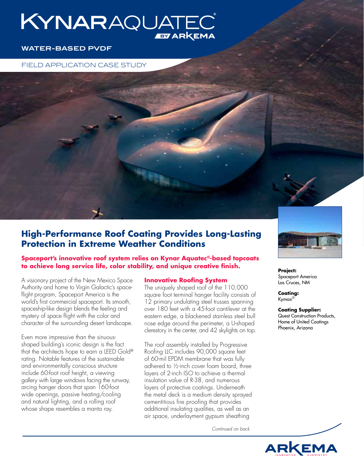# KYNARAQUATE **EY ARKEMA**

# **WATER-BASED PVDF**

FIELD APPLICATION CASE STUDY

# **High-Performance Roof Coating Provides Long-Lasting Protection in Extreme Weather Conditions**

**Spaceport's innovative roof system relies on Kynar Aquatec®-based topcoats to achieve long service life, color stability, and unique creative finish.**

A visionary project of the New Mexico Space Authority and home to Virgin Galactic's spaceflight program, Spaceport America is the world's first commercial spaceport. Its smooth, spaceship-like design blends the feeling and mystery of space flight with the color and character of the surrounding desert landscape.

Even more impressive than the sinuousshaped building's iconic design is the fact that the architects hope to earn a LEED Gold® rating. Notable features of the sustainable and environmentally conscious structure include 60-foot roof height, a viewing gallery with large windows facing the runway, arcing hanger doors that span 160-foot wide openings, passive heating/cooling and natural lighting, and a rolling roof whose shape resembles a manta ray.

# **Innovative Roofing System**

The uniquely shaped roof of the 110,000 square foot terminal hanger facility consists of 12 primary undulating steel trusses spanning over 180 feet with a 45-foot cantilever at the eastern edge, a blackened stainless steel bull nose edge around the perimeter, a U-shaped clerestory in the center, and 42 skylights on top.

The roof assembly installed by Progressive Roofing LLC includes 90,000 square feet of 60-mil EPDM membrane that was fully adhered to ½-inch cover foam board, three layers of 2-inch ISO to achieve a thermal insulation value of R-38, and numerous layers of protective coatings. Underneath the metal deck is a medium density sprayed cementitious fire proofing that provides additional insulating qualities, as well as an air space, underlayment gypsum sheathing

*Continued on back*



**Project:** Spaceport America Las Cruces, NM

**Coating:** Kymax®

**Coating Supplier:** Quest Construction Products, Home of United Coatings Phoenix, Arizona